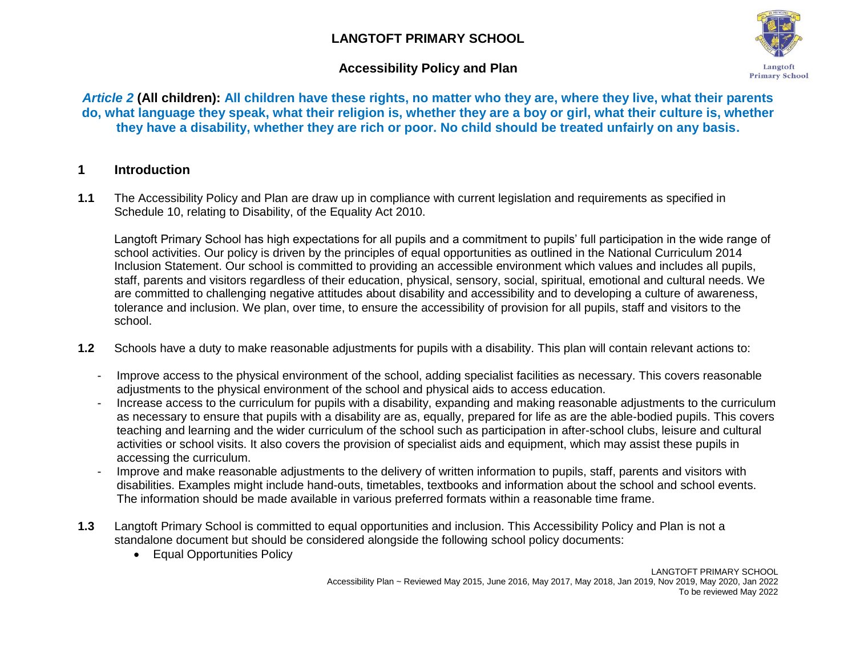# **LANGTOFT PRIMARY SCHOOL**

## **Accessibility Policy and Plan**



*Article 2* **(All children): All children have these rights, no matter who they are, where they live, what their parents do, what language they speak, what their religion is, whether they are a boy or girl, what their culture is, whether they have a disability, whether they are rich or poor. No child should be treated unfairly on any basis.**

## **1 Introduction**

**1.1** The Accessibility Policy and Plan are draw up in compliance with current legislation and requirements as specified in Schedule 10, relating to Disability, of the Equality Act 2010.

Langtoft Primary School has high expectations for all pupils and a commitment to pupils' full participation in the wide range of school activities. Our policy is driven by the principles of equal opportunities as outlined in the National Curriculum 2014 Inclusion Statement. Our school is committed to providing an accessible environment which values and includes all pupils, staff, parents and visitors regardless of their education, physical, sensory, social, spiritual, emotional and cultural needs. We are committed to challenging negative attitudes about disability and accessibility and to developing a culture of awareness, tolerance and inclusion. We plan, over time, to ensure the accessibility of provision for all pupils, staff and visitors to the school.

- **1.2** Schools have a duty to make reasonable adjustments for pupils with a disability. This plan will contain relevant actions to:
	- Improve access to the physical environment of the school, adding specialist facilities as necessary. This covers reasonable adjustments to the physical environment of the school and physical aids to access education.
	- Increase access to the curriculum for pupils with a disability, expanding and making reasonable adjustments to the curriculum as necessary to ensure that pupils with a disability are as, equally, prepared for life as are the able-bodied pupils. This covers teaching and learning and the wider curriculum of the school such as participation in after-school clubs, leisure and cultural activities or school visits. It also covers the provision of specialist aids and equipment, which may assist these pupils in accessing the curriculum.
	- Improve and make reasonable adjustments to the delivery of written information to pupils, staff, parents and visitors with disabilities. Examples might include hand-outs, timetables, textbooks and information about the school and school events. The information should be made available in various preferred formats within a reasonable time frame.
- **1.3** Langtoft Primary School is committed to equal opportunities and inclusion. This Accessibility Policy and Plan is not a standalone document but should be considered alongside the following school policy documents:
	- Equal Opportunities Policy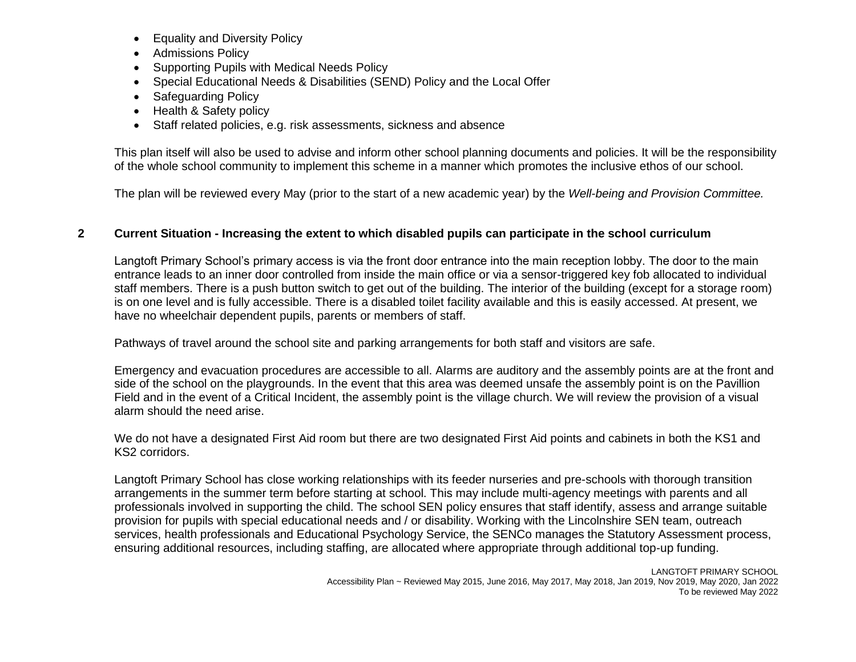- Equality and Diversity Policy
- Admissions Policy
- Supporting Pupils with Medical Needs Policy
- Special Educational Needs & Disabilities (SEND) Policy and the Local Offer
- Safeguarding Policy
- Health & Safety policy
- Staff related policies, e.g. risk assessments, sickness and absence

This plan itself will also be used to advise and inform other school planning documents and policies. It will be the responsibility of the whole school community to implement this scheme in a manner which promotes the inclusive ethos of our school.

The plan will be reviewed every May (prior to the start of a new academic year) by the *Well-being and Provision Committee.*

### **2 Current Situation - Increasing the extent to which disabled pupils can participate in the school curriculum**

Langtoft Primary School's primary access is via the front door entrance into the main reception lobby. The door to the main entrance leads to an inner door controlled from inside the main office or via a sensor-triggered key fob allocated to individual staff members. There is a push button switch to get out of the building. The interior of the building (except for a storage room) is on one level and is fully accessible. There is a disabled toilet facility available and this is easily accessed. At present, we have no wheelchair dependent pupils, parents or members of staff.

Pathways of travel around the school site and parking arrangements for both staff and visitors are safe.

Emergency and evacuation procedures are accessible to all. Alarms are auditory and the assembly points are at the front and side of the school on the playgrounds. In the event that this area was deemed unsafe the assembly point is on the Pavillion Field and in the event of a Critical Incident, the assembly point is the village church. We will review the provision of a visual alarm should the need arise.

We do not have a designated First Aid room but there are two designated First Aid points and cabinets in both the KS1 and KS2 corridors.

Langtoft Primary School has close working relationships with its feeder nurseries and pre-schools with thorough transition arrangements in the summer term before starting at school. This may include multi-agency meetings with parents and all professionals involved in supporting the child. The school SEN policy ensures that staff identify, assess and arrange suitable provision for pupils with special educational needs and / or disability. Working with the Lincolnshire SEN team, outreach services, health professionals and Educational Psychology Service, the SENCo manages the Statutory Assessment process, ensuring additional resources, including staffing, are allocated where appropriate through additional top-up funding.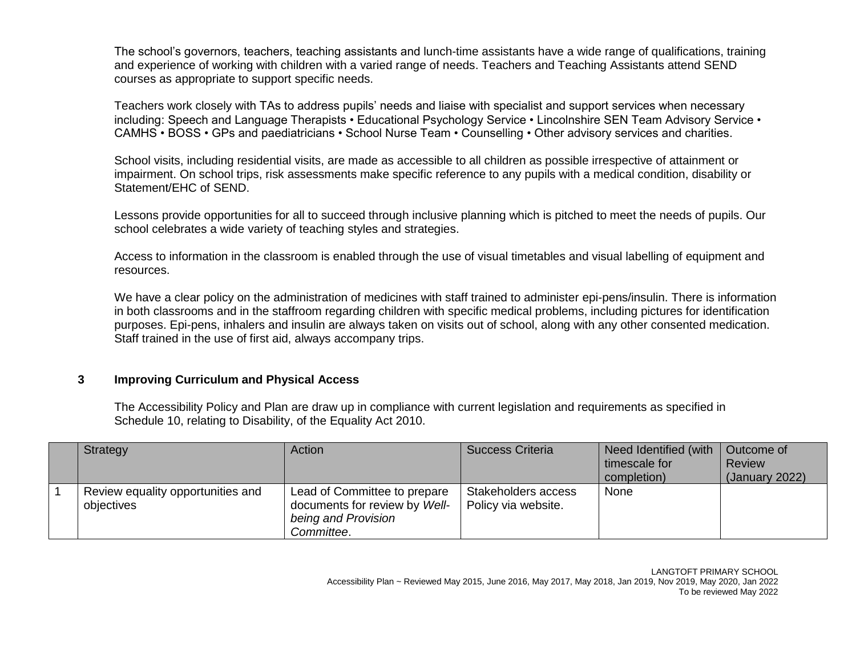The school's governors, teachers, teaching assistants and lunch-time assistants have a wide range of qualifications, training and experience of working with children with a varied range of needs. Teachers and Teaching Assistants attend SEND courses as appropriate to support specific needs.

Teachers work closely with TAs to address pupils' needs and liaise with specialist and support services when necessary including: Speech and Language Therapists • Educational Psychology Service • Lincolnshire SEN Team Advisory Service • CAMHS • BOSS • GPs and paediatricians • School Nurse Team • Counselling • Other advisory services and charities.

School visits, including residential visits, are made as accessible to all children as possible irrespective of attainment or impairment. On school trips, risk assessments make specific reference to any pupils with a medical condition, disability or Statement/EHC of SEND.

Lessons provide opportunities for all to succeed through inclusive planning which is pitched to meet the needs of pupils. Our school celebrates a wide variety of teaching styles and strategies.

Access to information in the classroom is enabled through the use of visual timetables and visual labelling of equipment and resources.

We have a clear policy on the administration of medicines with staff trained to administer epi-pens/insulin. There is information in both classrooms and in the staffroom regarding children with specific medical problems, including pictures for identification purposes. Epi-pens, inhalers and insulin are always taken on visits out of school, along with any other consented medication. Staff trained in the use of first aid, always accompany trips.

#### **3 Improving Curriculum and Physical Access**

The Accessibility Policy and Plan are draw up in compliance with current legislation and requirements as specified in Schedule 10, relating to Disability, of the Equality Act 2010.

| Strategy                                        | Action                                                                                             | <b>Success Criteria</b>                    | Need Identified (with<br>timescale for<br>completion) | Outcome of<br><b>Review</b><br>(January 2022) |
|-------------------------------------------------|----------------------------------------------------------------------------------------------------|--------------------------------------------|-------------------------------------------------------|-----------------------------------------------|
| Review equality opportunities and<br>objectives | Lead of Committee to prepare<br>documents for review by Well-<br>being and Provision<br>Committee. | Stakeholders access<br>Policy via website. | None                                                  |                                               |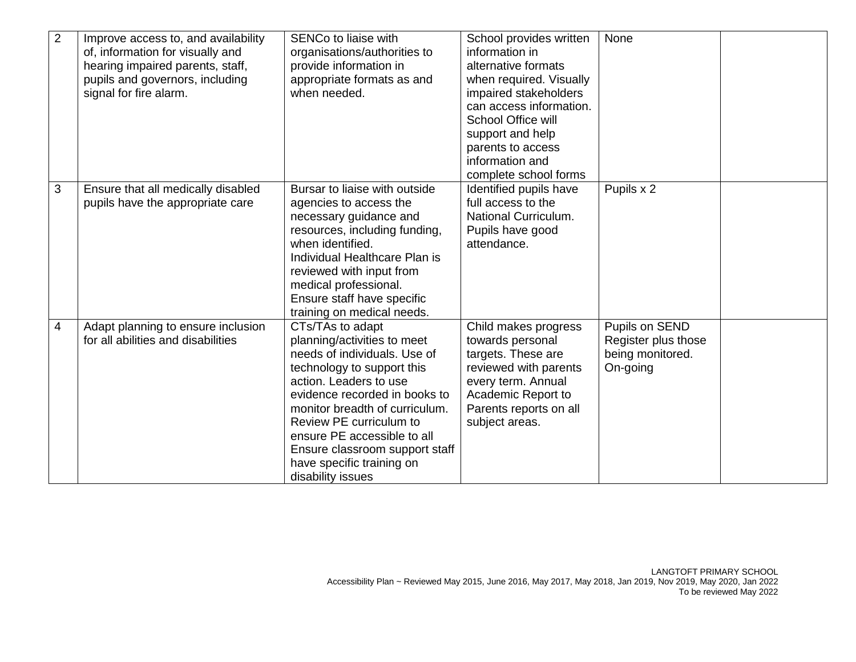| $\overline{2}$ | Improve access to, and availability<br>of, information for visually and<br>hearing impaired parents, staff,<br>pupils and governors, including<br>signal for fire alarm. | SENCo to liaise with<br>organisations/authorities to<br>provide information in<br>appropriate formats as and<br>when needed.                                                                                                                                                                                                                             | School provides written<br>information in<br>alternative formats<br>when required. Visually<br>impaired stakeholders<br>can access information.<br>School Office will<br>support and help<br>parents to access | None                                                                  |  |
|----------------|--------------------------------------------------------------------------------------------------------------------------------------------------------------------------|----------------------------------------------------------------------------------------------------------------------------------------------------------------------------------------------------------------------------------------------------------------------------------------------------------------------------------------------------------|----------------------------------------------------------------------------------------------------------------------------------------------------------------------------------------------------------------|-----------------------------------------------------------------------|--|
|                |                                                                                                                                                                          |                                                                                                                                                                                                                                                                                                                                                          | information and<br>complete school forms                                                                                                                                                                       |                                                                       |  |
| 3              | Ensure that all medically disabled<br>pupils have the appropriate care                                                                                                   | Bursar to liaise with outside<br>agencies to access the<br>necessary guidance and<br>resources, including funding,<br>when identified.<br>Individual Healthcare Plan is<br>reviewed with input from<br>medical professional.<br>Ensure staff have specific<br>training on medical needs.                                                                 | Identified pupils have<br>full access to the<br>National Curriculum.<br>Pupils have good<br>attendance.                                                                                                        | Pupils x 2                                                            |  |
| 4              | Adapt planning to ensure inclusion<br>for all abilities and disabilities                                                                                                 | CTs/TAs to adapt<br>planning/activities to meet<br>needs of individuals. Use of<br>technology to support this<br>action. Leaders to use<br>evidence recorded in books to<br>monitor breadth of curriculum.<br>Review PE curriculum to<br>ensure PE accessible to all<br>Ensure classroom support staff<br>have specific training on<br>disability issues | Child makes progress<br>towards personal<br>targets. These are<br>reviewed with parents<br>every term. Annual<br>Academic Report to<br>Parents reports on all<br>subject areas.                                | Pupils on SEND<br>Register plus those<br>being monitored.<br>On-going |  |